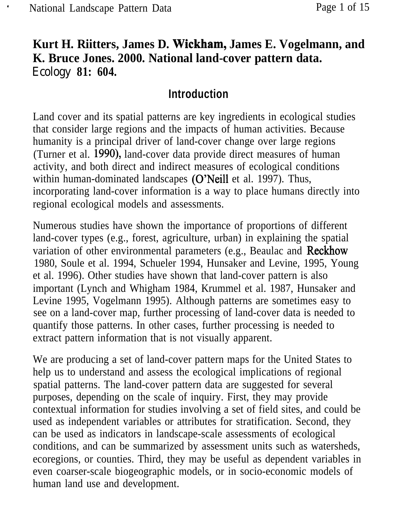## **Kurt H. Riitters, James D. Wickham, James E. Vogelmann, and K. Bruce Jones. 2000. National land-cover pattern data.** *Ecology* **81: 604.**

## **Introduction**

Land cover and its spatial patterns are key ingredients in ecological studies that consider large regions and the impacts of human activities. Because humanity is a principal driver of land-cover change over large regions (Turner et al. 1990), land-cover data provide direct measures of human activity, and both direct and indirect measures of ecological conditions within human-dominated landscapes (O'Neill et al. 1997). Thus, incorporating land-cover information is a way to place humans directly into regional ecological models and assessments.

Numerous studies have shown the importance of proportions of different land-cover types (e.g., forest, agriculture, urban) in explaining the spatial variation of other environmental parameters (e.g., Beaulac and Reckhow 1980, Soule et al. 1994, Schueler 1994, Hunsaker and Levine, 1995, Young et al. 1996). Other studies have shown that land-cover pattern is also important (Lynch and Whigham 1984, Krummel et al. 1987, Hunsaker and Levine 1995, Vogelmann 1995). Although patterns are sometimes easy to see on a land-cover map, further processing of land-cover data is needed to quantify those patterns. In other cases, further processing is needed to extract pattern information that is not visually apparent.

We are producing a set of land-cover pattern maps for the United States to help us to understand and assess the ecological implications of regional spatial patterns. The land-cover pattern data are suggested for several purposes, depending on the scale of inquiry. First, they may provide contextual information for studies involving a set of field sites, and could be used as independent variables or attributes for stratification. Second, they can be used as indicators in landscape-scale assessments of ecological conditions, and can be summarized by assessment units such as watersheds, ecoregions, or counties. Third, they may be useful as dependent variables in even coarser-scale biogeographic models, or in socio-economic models of human land use and development.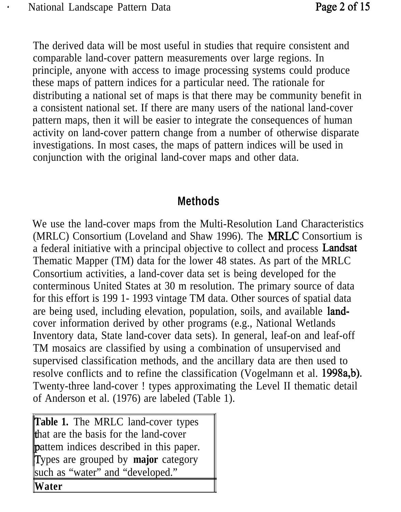The derived data will be most useful in studies that require consistent and comparable land-cover pattern measurements over large regions. In principle, anyone with access to image processing systems could produce these maps of pattern indices for a particular need. The rationale for distributing a national set of maps is that there may be community benefit in a consistent national set. If there are many users of the national land-cover pattern maps, then it will be easier to integrate the consequences of human activity on land-cover pattern change from a number of otherwise disparate investigations. In most cases, the maps of pattern indices will be used in conjunction with the original land-cover maps and other data.

## **Methods**

We use the land-cover maps from the Multi-Resolution Land Characteristics (MRLC) Consortium (Loveland and Shaw 1996). The MRLC Consortium is a federal initiative with a principal objective to collect and process Landsat Thematic Mapper (TM) data for the lower 48 states. As part of the MRLC Consortium activities, a land-cover data set is being developed for the conterminous United States at 30 m resolution. The primary source of data for this effort is 199 1- 1993 vintage TM data. Other sources of spatial data are being used, including elevation, population, soils, and available landcover information derived by other programs (e.g., National Wetlands Inventory data, State land-cover data sets). In general, leaf-on and leaf-off TM mosaics are classified by using a combination of unsupervised and supervised classification methods, and the ancillary data are then used to resolve conflicts and to refine the classification (Vogelmann et al. 1998a,b). Twenty-three land-cover ! types approximating the Level II thematic detail of Anderson et al. (1976) are labeled (Table 1).

Table 1. The MRLC land-cover types hat are the basis for the land-cover pattem indices described in this paper. Types are grouped by **major** category such as "water" and "developed." **Water**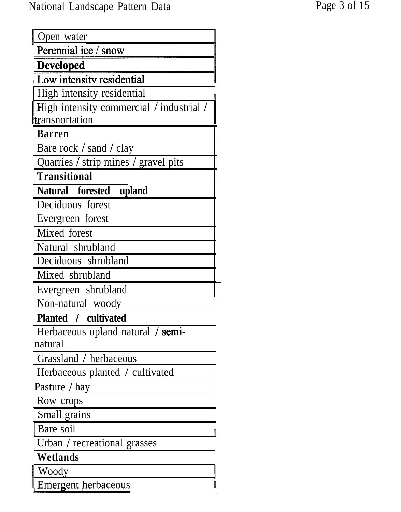| Open water                               |
|------------------------------------------|
| Perennial ice / snow                     |
| Developed                                |
| Low intensity residential                |
| High intensity residential               |
| High intensity commercial / industrial / |
| <b>transnortation</b>                    |
| <b>Barren</b>                            |
| Bare rock / sand / clay                  |
| Quarries / strip mines / gravel pits     |
| <b>Transitional</b>                      |
| Natural forested upland                  |
| Deciduous forest                         |
| Evergreen forest                         |
| Mixed forest                             |
| Natural shrubland                        |
| Deciduous shrubland                      |
| Mixed shrubland                          |
| Evergreen shrubland                      |
| Non-natural woody                        |
| Planted / cultivated                     |
| Herbaceous upland natural / semi-        |
| natural                                  |
| Grassland / herbaceous                   |
| Herbaceous planted / cultivated          |
| Pasture / hay                            |
| Row crops                                |
| Small grains                             |
| Bare soil                                |
| Urban / recreational grasses             |
| Wetlands                                 |
| Woody                                    |
| Emergent herbaceous                      |

 $\overline{\phantom{0}}$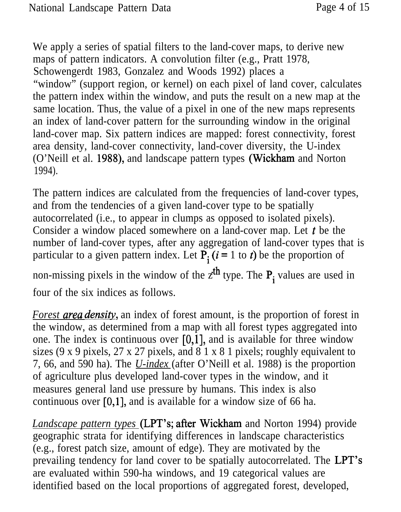We apply a series of spatial filters to the land-cover maps, to derive new maps of pattern indicators. A convolution filter (e.g., Pratt 1978, Schowengerdt 1983, Gonzalez and Woods 1992) places a "window" (support region, or kernel) on each pixel of land cover, calculates the pattern index within the window, and puts the result on a new map at the same location. Thus, the value of a pixel in one of the new maps represents an index of land-cover pattern for the surrounding window in the original land-cover map. Six pattern indices are mapped: forest connectivity, forest area density, land-cover connectivity, land-cover diversity, the U-index (O'Neill et al. 1988), and landscape pattern types (Wickham and Norton 1994).

The pattern indices are calculated from the frequencies of land-cover types, and from the tendencies of a given land-cover type to be spatially autocorrelated (i.e., to appear in clumps as opposed to isolated pixels). Consider a window placed somewhere on a land-cover map. Let t be the number of land-cover types, after any aggregation of land-cover types that is particular to a given pattern index. Let  $P_i$  ( $i = 1$  to t) be the proportion of

non-missing pixels in the window of the  $z<sup>th</sup>$  type. The  $P_i$  values are used in four of the six indices as follows.

*Forest area density*, an index of forest amount, is the proportion of forest in the window, as determined from a map with all forest types aggregated into one. The index is continuous over  $[0,1]$ , and is available for three window sizes (9 x 9 pixels, 27 x 27 pixels, and 8 1 x 8 1 pixels; roughly equivalent to 7, 66, and 590 ha). The *U-index* (after O'Neill et al. 1988) is the proportion of agriculture plus developed land-cover types in the window, and it measures general land use pressure by humans. This index is also continuous over [O,l], and is available for a window size of 66 ha.

*Landscape pattern types* (LPT's; after Wickham and Norton 1994) provide geographic strata for identifying differences in landscape characteristics (e.g., forest patch size, amount of edge). They are motivated by the prevailing tendency for land cover to be spatially autocorrelated. The LPT's are evaluated within 590-ha windows, and 19 categorical values are identified based on the local proportions of aggregated forest, developed,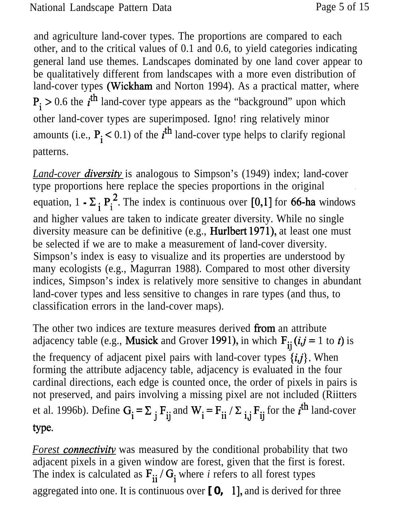and agriculture land-cover types. The proportions are compared to each other, and to the critical values of 0.1 and 0.6, to yield categories indicating general land use themes. Landscapes dominated by one land cover appear to be qualitatively different from landscapes with a more even distribution of land-cover types (Wickham and Norton 1994). As a practical matter, where  $P_i > 0.6$  the *i*<sup>th</sup> land-cover type appears as the "background" upon which other land-cover types are superimposed. Igno! ring relatively minor amounts (i.e.,  $P_i < 0.1$ ) of the *i*<sup>th</sup> land-cover type helps to clarify regional patterns.

*Land-cover diversity* is analogous to Simpson's (1949) index; land-cover type proportions here replace the species proportions in the original equation,  $1 - \Sigma_i P_i^2$ . The index is continuous over [0,1] for 66-ha windows and higher values are taken to indicate greater diversity. While no single diversity measure can be definitive (e.g., Hurlbert 1971), at least one must be selected if we are to make a measurement of land-cover diversity. Simpson's index is easy to visualize and its properties are understood by many ecologists (e.g., Magurran 1988). Compared to most other diversity indices, Simpson's index is relatively more sensitive to changes in abundant land-cover types and less sensitive to changes in rare types (and thus, to classification errors in the land-cover maps).

The other two indices are texture measures derived from an attribute adjacency table (e.g., Musick and Grover 1991), in which  $F_{ii}$  (i,j = 1 to t) is the frequency of adjacent pixel pairs with land-cover types  $\{i, j\}$ . When forming the attribute adjacency table, adjacency is evaluated in the four cardinal directions, each edge is counted once, the order of pixels in pairs is not preserved, and pairs involving a missing pixel are not included (Riitters et al. 1996b). Define  $G_i = \sum_j F_{ij}$  and  $W_i = F_{ii} / \sum_{i,j} F_{ij}$  for the *i*<sup>th</sup> land-cover type.

*Forest connectivitv* was measured by the conditional probability that two adjacent pixels in a given window are forest, given that the first is forest. The index is calculated as  $F_{ii}/G_i$  where *i* refers to all forest types aggregated into one. It is continuous over **[0,** I], and is derived for three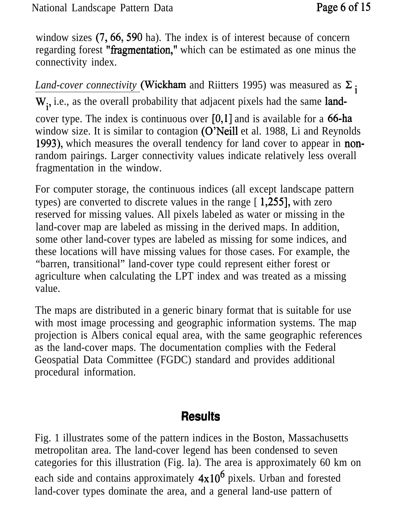window sizes (7, 66, 590 ha). The index is of interest because of concern regarding forest "fragmentation," which can be estimated as one minus the connectivity index.

*Land-cover connectivity* (Wickham and Riitters 1995) was measured as  $\Sigma_i$ W<sub>i</sub>, i.e., as the overall probability that adjacent pixels had the same landcover type. The index is continuous over  $[0,1]$  and is available for a 66-ha window size. It is similar to contagion (O'Neill et al. 1988, Li and Reynolds 1993), which measures the overall tendency for land cover to appear in nonrandom pairings. Larger connectivity values indicate relatively less overall fragmentation in the window.

For computer storage, the continuous indices (all except landscape pattern types) are converted to discrete values in the range [ 1,255], with zero reserved for missing values. All pixels labeled as water or missing in the land-cover map are labeled as missing in the derived maps. In addition, some other land-cover types are labeled as missing for some indices, and these locations will have missing values for those cases. For example, the "barren, transitional" land-cover type could represent either forest or agriculture when calculating the LPT index and was treated as a missing value.

The maps are distributed in a generic binary format that is suitable for use with most image processing and geographic information systems. The map projection is Albers conical equal area, with the same geographic references as the land-cover maps. The documentation complies with the Federal Geospatial Data Committee (FGDC) standard and provides additional procedural information.

# **Results**

Fig. 1 illustrates some of the pattern indices in the Boston, Massachusetts metropolitan area. The land-cover legend has been condensed to seven categories for this illustration (Fig. la). The area is approximately 60 km on each side and contains approximately  $4x10^6$  pixels. Urban and forested land-cover types dominate the area, and a general land-use pattern of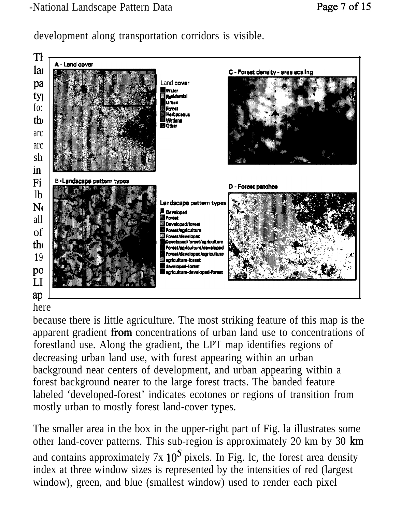development along transportation corridors is visible.



because there is little agriculture. The most striking feature of this map is the apparent gradient from concentrations of urban land use to concentrations of forestland use. Along the gradient, the LPT map identifies regions of decreasing urban land use, with forest appearing within an urban background near centers of development, and urban appearing within a forest background nearer to the large forest tracts. The banded feature labeled 'developed-forest' indicates ecotones or regions of transition from mostly urban to mostly forest land-cover types.

The smaller area in the box in the upper-right part of Fig. la illustrates some other land-cover patterns. This sub-region is approximately 20 km by 30 km and contains approximately 7x  $10^5$  pixels. In Fig. lc, the forest area density index at three window sizes is represented by the intensities of red (largest window), green, and blue (smallest window) used to render each pixel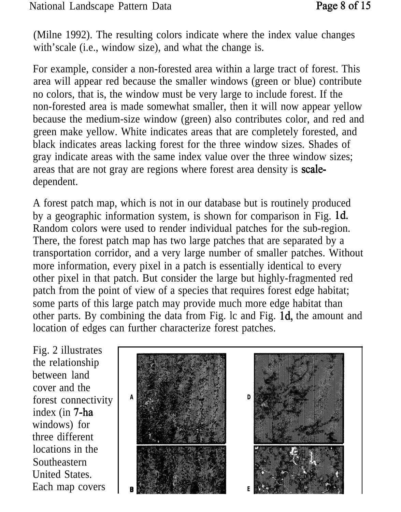(Milne 1992). The resulting colors indicate where the index value changes with'scale (i.e., window size), and what the change is.

For example, consider a non-forested area within a large tract of forest. This area will appear red because the smaller windows (green or blue) contribute no colors, that is, the window must be very large to include forest. If the non-forested area is made somewhat smaller, then it will now appear yellow because the medium-size window (green) also contributes color, and red and green make yellow. White indicates areas that are completely forested, and black indicates areas lacking forest for the three window sizes. Shades of gray indicate areas with the same index value over the three window sizes; areas that are not gray are regions where forest area density is scaledependent.

A forest patch map, which is not in our database but is routinely produced by a geographic information system, is shown for comparison in Fig. Id. Random colors were used to render individual patches for the sub-region. There, the forest patch map has two large patches that are separated by a transportation corridor, and a very large number of smaller patches. Without more information, every pixel in a patch is essentially identical to every other pixel in that patch. But consider the large but highly-fragmented red patch from the point of view of a species that requires forest edge habitat; some parts of this large patch may provide much more edge habitat than other parts. By combining the data from Fig. lc and Fig. Id, the amount and location of edges can further characterize forest patches.

Fig. 2 illustrates the relationship between land cover and the forest connectivity index (in 7-ha windows) for three different locations in the Southeastern United States. Each map covers

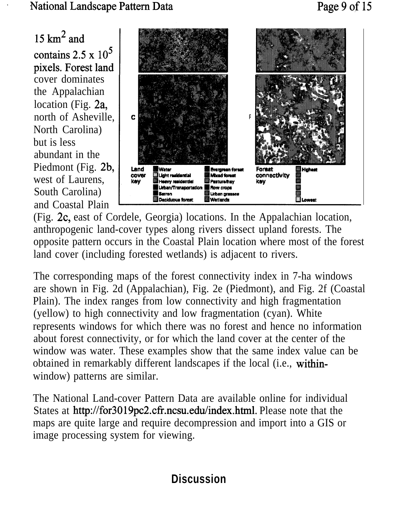#### National Landscape Pattern Data

15  $km^2$  and contains 2.5 x  $10^5$ pixels. Forest land cover dominates the Appalachian location (Fig. 2a, north of Asheville, **F** North Carolina) but is less abundant in the Piedmont (Fig. 2b, west of Laurens, South Carolina) and Coastal Plain



(Fig. 2c, east of Cordele, Georgia) locations. In the Appalachian location, anthropogenic land-cover types along rivers dissect upland forests. The opposite pattern occurs in the Coastal Plain location where most of the forest land cover (including forested wetlands) is adjacent to rivers.

The corresponding maps of the forest connectivity index in 7-ha windows are shown in Fig. 2d (Appalachian), Fig. 2e (Piedmont), and Fig. 2f (Coastal Plain). The index ranges from low connectivity and high fragmentation (yellow) to high connectivity and low fragmentation (cyan). White represents windows for which there was no forest and hence no information about forest connectivity, or for which the land cover at the center of the window was water. These examples show that the same index value can be obtained in remarkably different landscapes if the local (i.e., withinwindow) patterns are similar.

The National Land-cover Pattern Data are available online for individual States at http://for3019pc2.cfr.ncsu.edu/index.html. Please note that the maps are quite large and require decompression and import into a GIS or image processing system for viewing.

# **Discussion**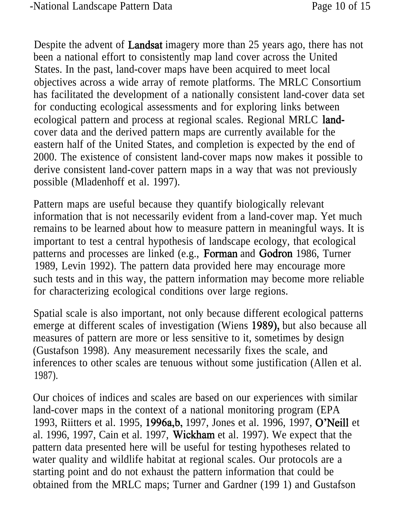Despite the advent of Landsat imagery more than 25 years ago, there has not been a national effort to consistently map land cover across the United States. In the past, land-cover maps have been acquired to meet local objectives across a wide array of remote platforms. The MRLC Consortium has facilitated the development of a nationally consistent land-cover data set for conducting ecological assessments and for exploring links between ecological pattern and process at regional scales. Regional MRLC landcover data and the derived pattern maps are currently available for the eastern half of the United States, and completion is expected by the end of 2000. The existence of consistent land-cover maps now makes it possible to derive consistent land-cover pattern maps in a way that was not previously possible (Mladenhoff et al. 1997).

Pattern maps are useful because they quantify biologically relevant information that is not necessarily evident from a land-cover map. Yet much remains to be learned about how to measure pattern in meaningful ways. It is important to test a central hypothesis of landscape ecology, that ecological patterns and processes are linked (e.g., Forman and Godron 1986, Turner 1989, Levin 1992). The pattern data provided here may encourage more such tests and in this way, the pattern information may become more reliable for characterizing ecological conditions over large regions.

Spatial scale is also important, not only because different ecological patterns emerge at different scales of investigation (Wiens 1989), but also because all measures of pattern are more or less sensitive to it, sometimes by design (Gustafson 1998). Any measurement necessarily fixes the scale, and inferences to other scales are tenuous without some justification (Allen et al. 1987).

Our choices of indices and scales are based on our experiences with similar land-cover maps in the context of a national monitoring program (EPA 1993, Riitters et al. 1995, 1996a,b, 1997, Jones et al. 1996, 1997, O'Neill et al. 1996, 1997, Cain et al. 1997, Wickham et al. 1997). We expect that the pattern data presented here will be useful for testing hypotheses related to water quality and wildlife habitat at regional scales. Our protocols are a starting point and do not exhaust the pattern information that could be obtained from the MRLC maps; Turner and Gardner (199 1) and Gustafson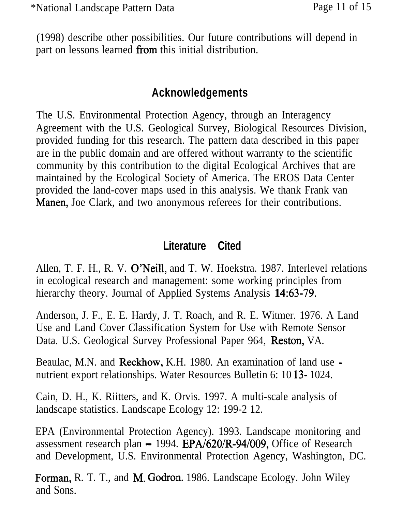(1998) describe other possibilities. Our future contributions will depend in part on lessons learned from this initial distribution.

# **Acknowledgements**

The U.S. Environmental Protection Agency, through an Interagency Agreement with the U.S. Geological Survey, Biological Resources Division, provided funding for this research. The pattern data described in this paper are in the public domain and are offered without warranty to the scientific community by this contribution to the digital Ecological Archives that are maintained by the Ecological Society of America. The EROS Data Center provided the land-cover maps used in this analysis. We thank Frank van Manen, Joe Clark, and two anonymous referees for their contributions.

## **Literature Cited**

Allen, T. F. H., R. V. O'Neill, and T. W. Hoekstra. 1987. Interlevel relations in ecological research and management: some working principles from hierarchy theory. Journal of Applied Systems Analysis 14:63-79.

Anderson, J. F., E. E. Hardy, J. T. Roach, and R. E. Witmer. 1976. A Land Use and Land Cover Classification System for Use with Remote Sensor Data. U.S. Geological Survey Professional Paper 964, Reston, VA.

Beaulac, M.N. and Reckhow, K.H. 1980. An examination of land use nutrient export relationships. Water Resources Bulletin 6: 10 13- 1024.

Cain, D. H., K. Riitters, and K. Orvis. 1997. A multi-scale analysis of landscape statistics. Landscape Ecology 12: 199-2 12.

EPA (Environmental Protection Agency). 1993. Landscape monitoring and assessment research plan  $-$  1994. EPA/620/R-94/009, Office of Research and Development, U.S. Environmental Protection Agency, Washington, DC.

Forman, R. T. T., and M. Godron. 1986. Landscape Ecology. John Wiley and Sons.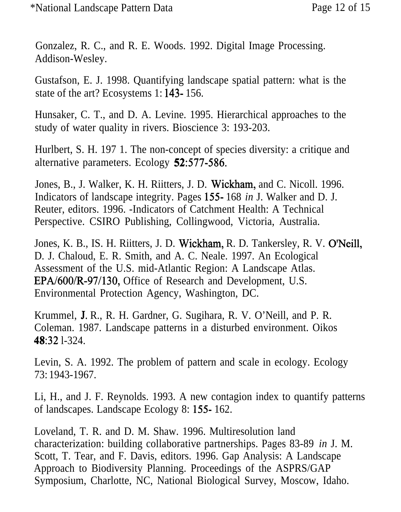Gonzalez, R. C., and R. E. Woods. 1992. Digital Image Processing. Addison-Wesley.

Gustafson, E. J. 1998. Quantifying landscape spatial pattern: what is the state of the art? Ecosystems 1: 143- 156.

Hunsaker, C. T., and D. A. Levine. 1995. Hierarchical approaches to the study of water quality in rivers. Bioscience 3: 193-203.

Hurlbert, S. H. 197 1. The non-concept of species diversity: a critique and alternative parameters. Ecology 52:577-586.

Jones, B., J. Walker, K. H. Riitters, J. D. Wickham, and C. Nicoll. 1996. Indicators of landscape integrity. Pages 155- 168 *in* J. Walker and D. J. Reuter, editors. 1996. -Indicators of Catchment Health: A Technical Perspective. CSIRO Publishing, Collingwood, Victoria, Australia.

Jones, K. B., IS. H. Riitters, J. D. Wickham, R. D. Tankersley, R. V. O'Neill, D. J. Chaloud, E. R. Smith, and A. C. Neale. 1997. An Ecological Assessment of the U.S. mid-Atlantic Region: A Landscape Atlas. EPA/600/R-97/130, Office of Research and Development, U.S. Environmental Protection Agency, Washington, DC.

Krummel, J. R., R. H. Gardner, G. Sugihara, R. V. O'Neill, and P. R. Coleman. 1987. Landscape patterns in a disturbed environment. Oikos 48132 l-324.

Levin, S. A. 1992. The problem of pattern and scale in ecology. Ecology 73: 1943-1967.

Li, H., and J. F. Reynolds. 1993. A new contagion index to quantify patterns of landscapes. Landscape Ecology 8: 155- 162.

Loveland, T. R. and D. M. Shaw. 1996. Multiresolution land characterization: building collaborative partnerships. Pages 83-89 *in* J. M. Scott, T. Tear, and F. Davis, editors. 1996. Gap Analysis: A Landscape Approach to Biodiversity Planning. Proceedings of the ASPRS/GAP Symposium, Charlotte, NC, National Biological Survey, Moscow, Idaho.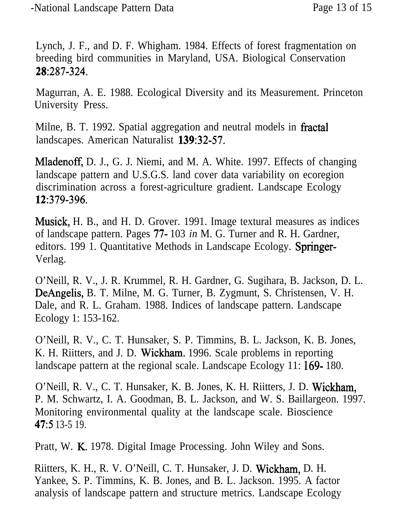Lynch, J. F., and D. F. Whigham. 1984. Effects of forest fragmentation on breeding bird communities in Maryland, USA. Biological Conservation 281287-324.

Magurran, A. E. 1988. Ecological Diversity and its Measurement. Princeton University Press.

Milne, B. T. 1992. Spatial aggregation and neutral models in fractal landscapes. American Naturalist 139:32-57.

Mladenoff, D. J., G. J. Niemi, and M. A. White. 1997. Effects of changing landscape pattern and U.S.G.S. land cover data variability on ecoregion discrimination across a forest-agriculture gradient. Landscape Ecology 12:379-396.

Musick, H. B., and H. D. Grover. 1991. Image textural measures as indices of landscape pattern. Pages 77- 103 *in* M. G. Turner and R. H. Gardner, editors. 199 1. Quantitative Methods in Landscape Ecology. Springer-Verlag.

O'Neill, R. V., J. R. Krummel, R. H. Gardner, G. Sugihara, B. Jackson, D. L. DeAngelis, B. T. Milne, M. G. Turner, B. Zygmunt, S. Christensen, V. H. Dale, and R. L. Graham. 1988. Indices of landscape pattern. Landscape Ecology 1: 153-162.

O'Neill, R. V., C. T. Hunsaker, S. P. Timmins, B. L. Jackson, K. B. Jones, K. H. Riitters, and J. D. Wickham. 1996. Scale problems in reporting landscape pattern at the regional scale. Landscape Ecology 11: 169- 180.

O'Neill, R. V., C. T. Hunsaker, K. B. Jones, K. H. Riitters, J. D. Wickham, P. M. Schwartz, I. A. Goodman, B. L. Jackson, and W. S. Baillargeon. 1997. Monitoring environmental quality at the landscape scale. Bioscience 47:5 13-5 19.

Pratt, W. K. 1978. Digital Image Processing. John Wiley and Sons.

Riitters, K. H., R. V. O'Neill, C. T. Hunsaker, J. D. Wickham, D. H. Yankee, S. P. Timmins, K. B. Jones, and B. L. Jackson. 1995. A factor analysis of landscape pattern and structure metrics. Landscape Ecology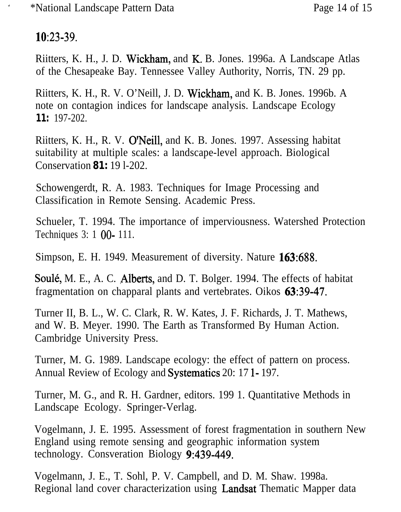### **10:23-39.**

Riitters, K. H., J. D. Wickham, and K. B. Jones. 1996a. A Landscape Atlas of the Chesapeake Bay. Tennessee Valley Authority, Norris, TN. 29 pp.

Riitters, K. H., R. V. O'Neill, J. D. Wickham, and K. B. Jones. 1996b. A note on contagion indices for landscape analysis. Landscape Ecology **11:** 197-202.

Riitters, K. H., R. V. O'Neill, and K. B. Jones. 1997. Assessing habitat suitability at multiple scales: a landscape-level approach. Biological Conservation **81:** 19 l-202.

Schowengerdt, R. A. 1983. Techniques for Image Processing and Classification in Remote Sensing. Academic Press.

Schueler, T. 1994. The importance of imperviousness. Watershed Protection Techniques 3: 1 OO- 111.

Simpson, E. H. 1949. Measurement of diversity. Nature 163:688.

Soulé, M. E., A. C. Alberts, and D. T. Bolger. 1994. The effects of habitat fragmentation on chapparal plants and vertebrates. Oikos 63:39-47.

Turner II, B. L., W. C. Clark, R. W. Kates, J. F. Richards, J. T. Mathews, and W. B. Meyer. 1990. The Earth as Transformed By Human Action. Cambridge University Press.

Turner, M. G. 1989. Landscape ecology: the effect of pattern on process. Annual Review of Ecology and Systematics 20: 17 l- 197.

Turner, M. G., and R. H. Gardner, editors. 199 1. Quantitative Methods in Landscape Ecology. Springer-Verlag.

Vogelmann, J. E. 1995. Assessment of forest fragmentation in southern New England using remote sensing and geographic information system technology. Consveration Biology 9:439-449.

Vogelmann, J. E., T. Sohl, P. V. Campbell, and D. M. Shaw. 1998a. Regional land cover characterization using Landsat Thematic Mapper data